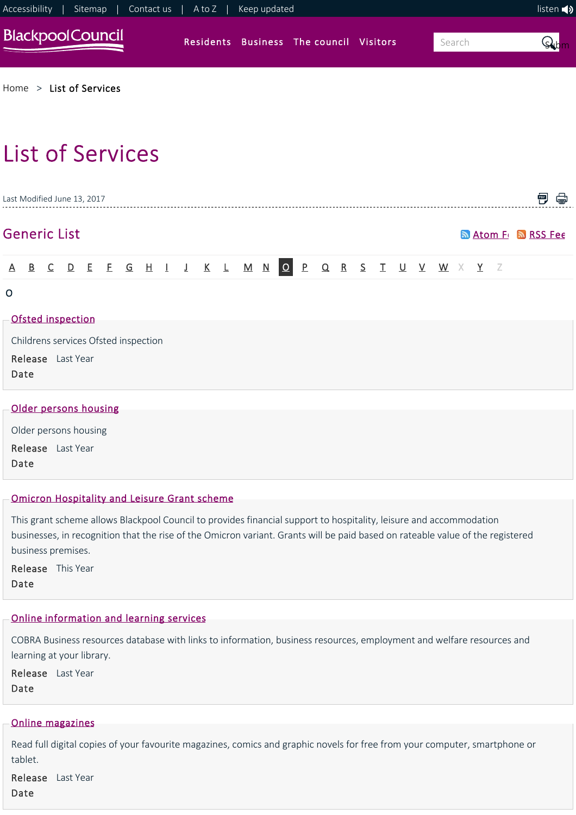

|         | Last Modified June 13, 2017                                       |  |  |  |  |  |  |  |  |  |  |                                                     |  |                           | PDF |  |
|---------|-------------------------------------------------------------------|--|--|--|--|--|--|--|--|--|--|-----------------------------------------------------|--|---------------------------|-----|--|
|         | <b>Generic List</b>                                               |  |  |  |  |  |  |  |  |  |  |                                                     |  | <b>M</b> Atom Fr MRSS Fee |     |  |
|         |                                                                   |  |  |  |  |  |  |  |  |  |  | A B C D E E G H I J K L M N O P Q R S T U V W X Y Z |  |                           |     |  |
| $\circ$ | Ofsted inspection                                                 |  |  |  |  |  |  |  |  |  |  |                                                     |  |                           |     |  |
|         | Childrens services Ofsted inspection<br>Release Last Year<br>Date |  |  |  |  |  |  |  |  |  |  |                                                     |  |                           |     |  |
|         |                                                                   |  |  |  |  |  |  |  |  |  |  |                                                     |  |                           |     |  |

| Older persons housing |
|-----------------------|
|                       |
| Older persons housing |
|                       |
| Release Last Year     |
|                       |
| Date                  |
|                       |
|                       |

## [Omicron Hospitality and Leisure Grant scheme](https://www.blackpool.gov.uk/Business/Business-rates/COVID-19/Omicron-Hospitality-and-Leisure-Grant-Scheme.aspx)

This grant scheme allows Blackpool Council to provides financial support to hospitality, leisure and accommodation businesses, in recognition that the rise of the Omicron variant. Grants will be paid based on rateable value of the registered business premises.

Release This Year Date

# [Online information and learning services](https://www.blackpool.gov.uk/Residents/Libraries-arts-and-heritage/Libraries/Online-information-and-learning-services.aspx)

COBRA Business resources database with links to information, business resources, employment and welfare resources and learning at your library.

Release Last Year Date

# [Online magazines](https://www.blackpool.gov.uk/Residents/Libraries-arts-and-heritage/Libraries/Online-magazines.aspx)

Read full digital copies of your favourite magazines, comics and graphic novels for free from your computer, smartphone or tablet.

Release Last Year Date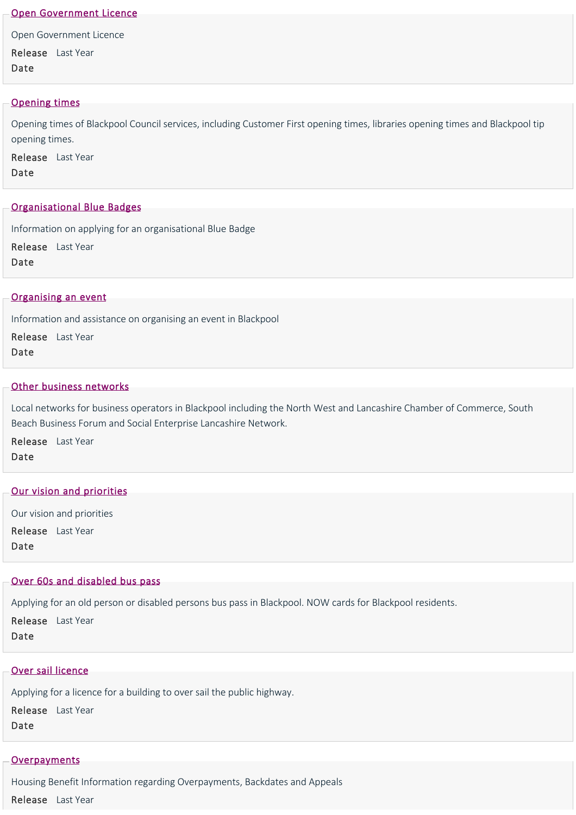#### [Open Government Licence](https://www.blackpool.gov.uk/Your-Council/Transparency-and-open-data/Open-Government-Licence.aspx)

Open Government Licence Release Last Year Date

### [Opening times](https://www.blackpool.gov.uk/Opening-times.aspx)

Opening times of Blackpool Council services, including Customer First opening times, libraries opening times and Blackpool tip opening times.

Release Last Year Date

### [Organisational Blue Badges](https://www.blackpool.gov.uk/Residents/Parking-roads-and-transport/Parking/Blue-badge-disabled-parking/Organisational-blue-badges.aspx)

Information on applying for an organisational Blue Badge

Release Last Year

Date

#### [Organising an event](https://www.blackpool.gov.uk/Business/Working-with-the-council/Organising-an-event/Organising-an-event.aspx)

Information and assistance on organising an event in Blackpool

Release Last Year Date

## [Other business networks](https://www.blackpool.gov.uk/Business/Business-support-and-advice/Business-partnerships-and-networks/Other-business-networks.aspx)

Local networks for business operators in Blackpool including the North West and Lancashire Chamber of Commerce, South Beach Business Forum and Social Enterprise Lancashire Network.

Release Last Year Date

### [Our vision and priorities](https://www.blackpool.gov.uk/Residents/Health-and-social-care/Health-and-Wellbeing-Board/Our-vision-and-priorities.aspx)

Our vision and priorities Release Last Year Date

## [Over 60s and disabled bus pass](https://www.blackpool.gov.uk/Residents/Parking-roads-and-transport/Transport/Public-transport/Over-60s-and-disabled-bus-pass.aspx)

Applying for an old person or disabled persons bus pass in Blackpool. NOW cards for Blackpool residents.

Release Last Year Date

#### [Over sail licence](https://www.blackpool.gov.uk/Business/Licensing-and-permits/Highways-licences-and-permits/Over-sail-licence.aspx)

Applying for a licence for a building to over sail the public highway. Release Last Year Date

## **[Overpayments](https://www.blackpool.gov.uk/Residents/Benefits/Overpayments-backdates-and-appeals/Overpayments.aspx)**

Housing Benefit Information regarding Overpayments, Backdates and Appeals Release Last Year